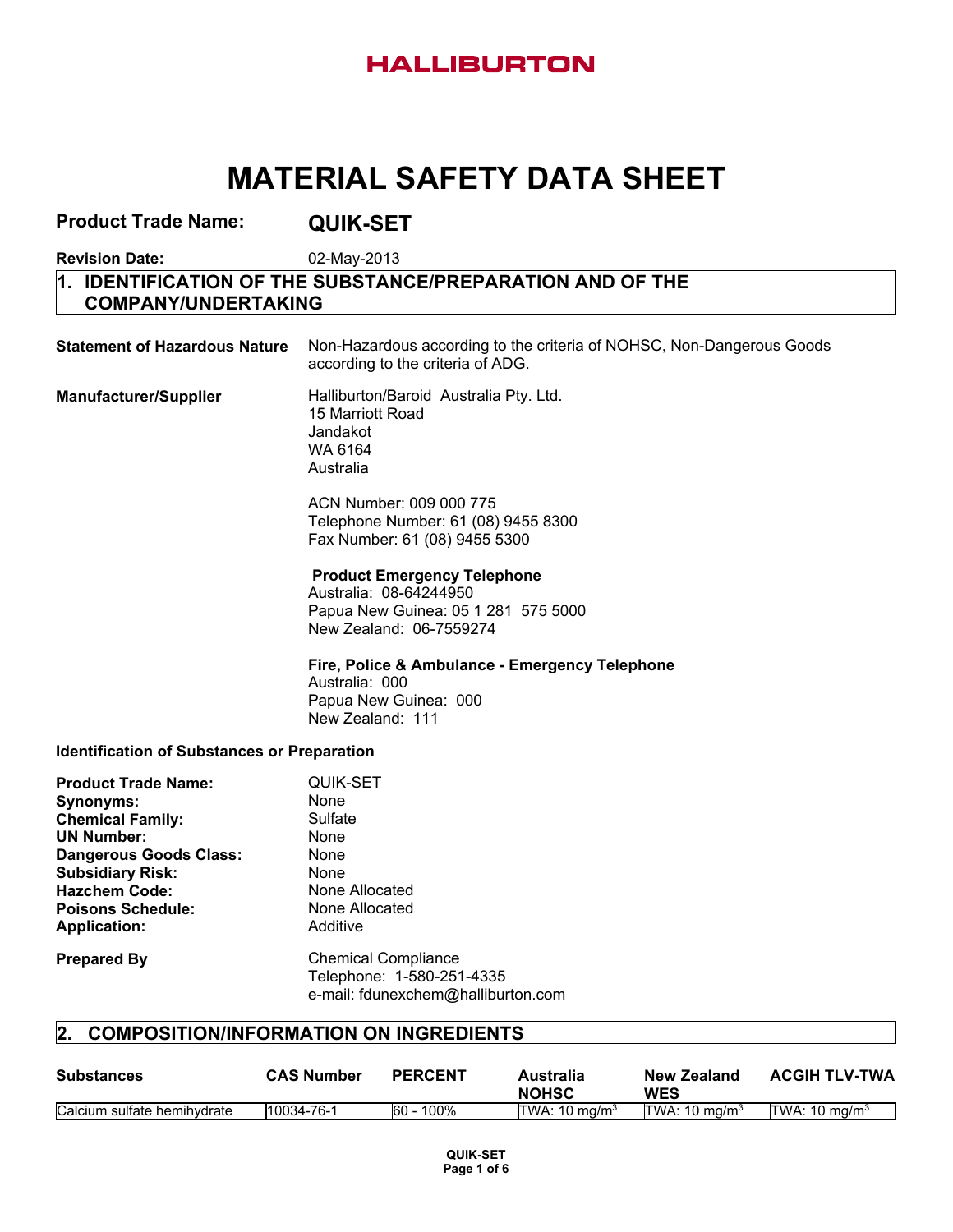# **HALLIBURTON**

# **MATERIAL SAFETY DATA SHEET**

| <b>Product Trade Name:</b>                                                                                                                                                                                                            | <b>QUIK-SET</b>                                                                                                                |
|---------------------------------------------------------------------------------------------------------------------------------------------------------------------------------------------------------------------------------------|--------------------------------------------------------------------------------------------------------------------------------|
| <b>Revision Date:</b>                                                                                                                                                                                                                 | 02-May-2013                                                                                                                    |
| 1.<br><b>COMPANY/UNDERTAKING</b>                                                                                                                                                                                                      | <b>IDENTIFICATION OF THE SUBSTANCE/PREPARATION AND OF THE</b>                                                                  |
| <b>Statement of Hazardous Nature</b>                                                                                                                                                                                                  | Non-Hazardous according to the criteria of NOHSC, Non-Dangerous Goods<br>according to the criteria of ADG.                     |
| <b>Manufacturer/Supplier</b>                                                                                                                                                                                                          | Halliburton/Baroid Australia Pty. Ltd.<br>15 Marriott Road<br>Jandakot<br>WA 6164<br>Australia                                 |
|                                                                                                                                                                                                                                       | ACN Number: 009 000 775<br>Telephone Number: 61 (08) 9455 8300<br>Fax Number: 61 (08) 9455 5300                                |
|                                                                                                                                                                                                                                       | <b>Product Emergency Telephone</b><br>Australia: 08-64244950<br>Papua New Guinea: 05 1 281 575 5000<br>New Zealand: 06-7559274 |
|                                                                                                                                                                                                                                       | Fire, Police & Ambulance - Emergency Telephone<br>Australia: 000<br>Papua New Guinea: 000<br>New Zealand: 111                  |
| <b>Identification of Substances or Preparation</b>                                                                                                                                                                                    |                                                                                                                                |
| <b>Product Trade Name:</b><br><b>Synonyms:</b><br><b>Chemical Family:</b><br><b>UN Number:</b><br><b>Dangerous Goods Class:</b><br><b>Subsidiary Risk:</b><br><b>Hazchem Code:</b><br><b>Poisons Schedule:</b><br><b>Application:</b> | <b>QUIK-SET</b><br><b>None</b><br>Sulfate<br>None<br>None<br><b>None</b><br>None Allocated<br>None Allocated<br>Additive       |
| <b>Prepared By</b>                                                                                                                                                                                                                    | <b>Chemical Compliance</b><br>Telephone: 1-580-251-4335<br>e-mail: fdunexchem@halliburton.com                                  |
| 2.                                                                                                                                                                                                                                    | <b>COMPOSITION/INFORMATION ON INGREDIENTS</b>                                                                                  |

| <b>Substances</b>           | <b>CAS Number</b> | <b>PERCENT</b> | Australia<br><b>NOHSC</b> | New Zealand<br>WES | <b>ACGIH TLV-TWA</b> |
|-----------------------------|-------------------|----------------|---------------------------|--------------------|----------------------|
| Calcium sulfate hemihydrate | 10034-76-1        | 100%<br>60     | TWA: $10 \text{ ma/m}^3$  | TWA: 10 $ma/m3$    | TWA: 10 $ma/m3$      |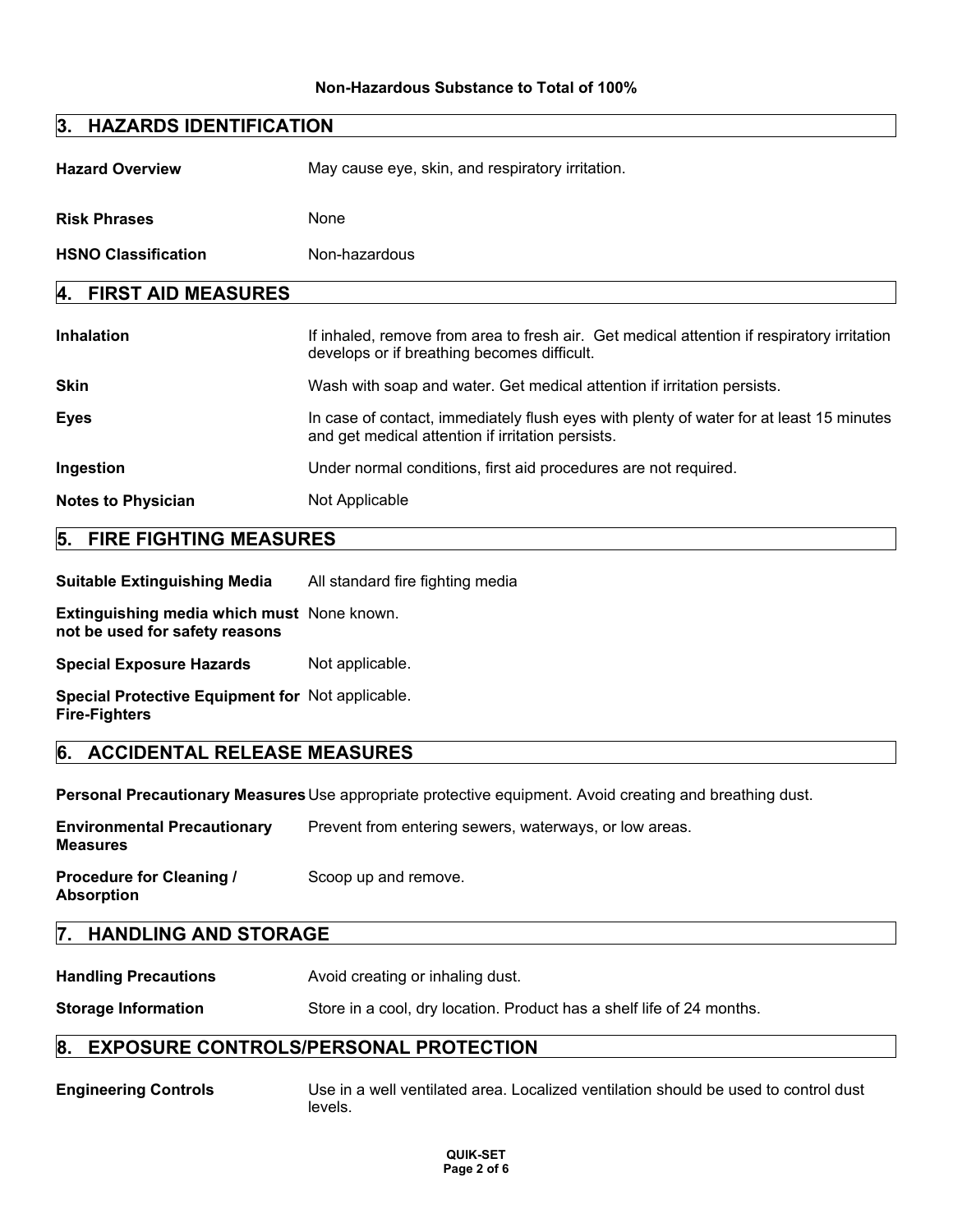#### **Non-Hazardous Substance to Total of 100%**

| 3. HAZARDS IDENTIFICATION       |                                                                                                                                              |  |
|---------------------------------|----------------------------------------------------------------------------------------------------------------------------------------------|--|
| <b>Hazard Overview</b>          | May cause eye, skin, and respiratory irritation.                                                                                             |  |
| <b>Risk Phrases</b>             | None                                                                                                                                         |  |
| <b>HSNO Classification</b>      | Non-hazardous                                                                                                                                |  |
| <b>FIRST AID MEASURES</b><br>4. |                                                                                                                                              |  |
| <b>Inhalation</b>               | If inhaled, remove from area to fresh air. Get medical attention if respiratory irritation<br>develops or if breathing becomes difficult.    |  |
| <b>Skin</b>                     | Wash with soap and water. Get medical attention if irritation persists.                                                                      |  |
| Eyes                            | In case of contact, immediately flush eyes with plenty of water for at least 15 minutes<br>and get medical attention if irritation persists. |  |
| Ingestion                       | Under normal conditions, first aid procedures are not required.                                                                              |  |
| <b>Notes to Physician</b>       | Not Applicable                                                                                                                               |  |

## **5. FIRE FIGHTING MEASURES**

**Suitable Extinguishing Media** All standard fire fighting media

**Extinguishing media which must** None known. **not be used for safety reasons**

**Special Exposure Hazards** Not applicable.

**Special Protective Equipment for** Not applicable. **Fire-Fighters**

#### **6. ACCIDENTAL RELEASE MEASURES**

**Personal Precautionary Measures**Use appropriate protective equipment. Avoid creating and breathing dust.

| <b>Environmental Precautionary</b><br><b>Measures</b> | Prevent from entering sewers, waterways, or low areas. |
|-------------------------------------------------------|--------------------------------------------------------|
| <b>Procedure for Cleaning /</b><br><b>Absorption</b>  | Scoop up and remove.                                   |

#### **7. HANDLING AND STORAGE**

**Handling Precautions Avoid creating or inhaling dust.** 

**Storage Information** Store in a cool, dry location. Product has a shelf life of 24 months.

## **8. EXPOSURE CONTROLS/PERSONAL PROTECTION**

**Engineering Controls** Use in a well ventilated area. Localized ventilation should be used to control dust levels.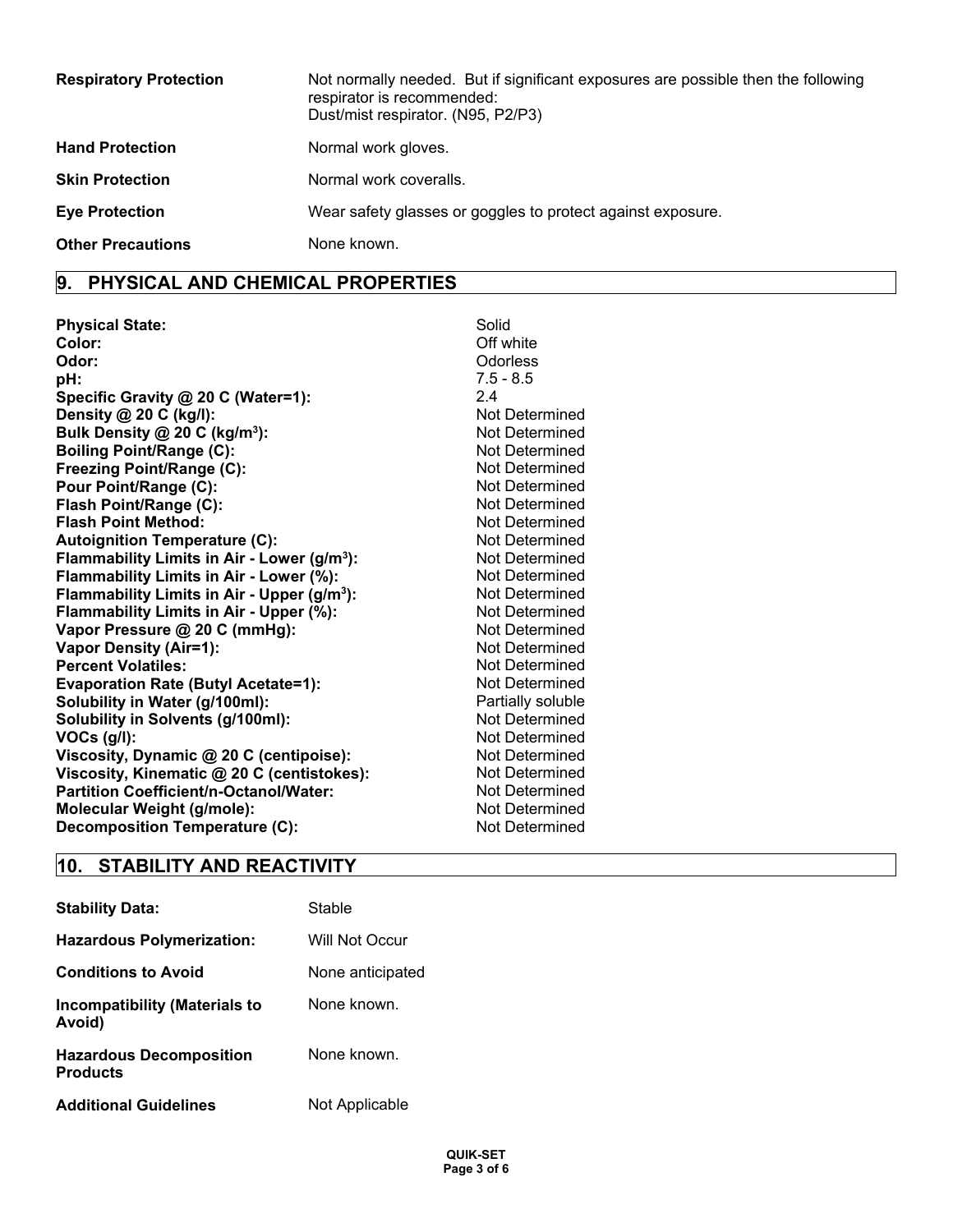| <b>Respiratory Protection</b> | Not normally needed. But if significant exposures are possible then the following<br>respirator is recommended:<br>Dust/mist respirator. (N95, P2/P3) |
|-------------------------------|-------------------------------------------------------------------------------------------------------------------------------------------------------|
| <b>Hand Protection</b>        | Normal work gloves.                                                                                                                                   |
| <b>Skin Protection</b>        | Normal work coveralls.                                                                                                                                |
| <b>Eye Protection</b>         | Wear safety glasses or goggles to protect against exposure.                                                                                           |
| <b>Other Precautions</b>      | None known.                                                                                                                                           |

## **9. PHYSICAL AND CHEMICAL PROPERTIES**

| Solid             |
|-------------------|
| Off white         |
| Odorless          |
| $7.5 - 8.5$       |
| 2.4               |
| Not Determined    |
| Not Determined    |
| Not Determined    |
| Not Determined    |
| Not Determined    |
| Not Determined    |
| Not Determined    |
| Not Determined    |
| Not Determined    |
| Not Determined    |
| Not Determined    |
| Not Determined    |
| Not Determined    |
| Not Determined    |
| Not Determined    |
| Not Determined    |
| Partially soluble |
| Not Determined    |
| Not Determined    |
| Not Determined    |
| Not Determined    |
| Not Determined    |
| Not Determined    |
| Not Determined    |
|                   |

# **10. STABILITY AND REACTIVITY**

| <b>Stability Data:</b>                            | Stable           |
|---------------------------------------------------|------------------|
| <b>Hazardous Polymerization:</b>                  | Will Not Occur   |
| <b>Conditions to Avoid</b>                        | None anticipated |
| <b>Incompatibility (Materials to</b><br>Avoid)    | None known.      |
| <b>Hazardous Decomposition</b><br><b>Products</b> | None known.      |
| <b>Additional Guidelines</b>                      | Not Applicable   |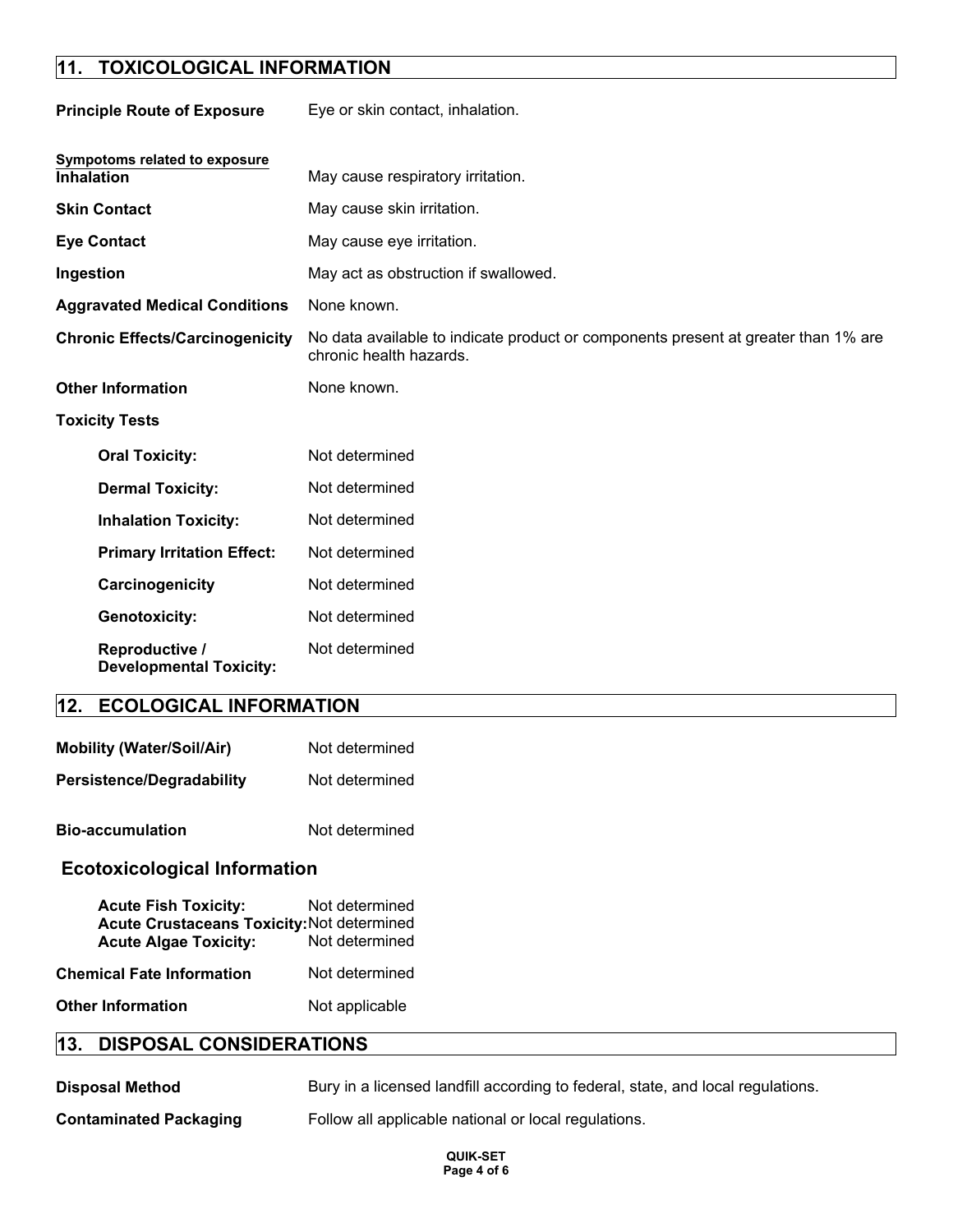# **11. TOXICOLOGICAL INFORMATION**

| <b>Principle Route of Exposure</b>                 | Eye or skin contact, inhalation.                                                                              |
|----------------------------------------------------|---------------------------------------------------------------------------------------------------------------|
| Sympotoms related to exposure<br><b>Inhalation</b> | May cause respiratory irritation.                                                                             |
| <b>Skin Contact</b>                                | May cause skin irritation.                                                                                    |
| <b>Eye Contact</b>                                 | May cause eye irritation.                                                                                     |
| Ingestion                                          | May act as obstruction if swallowed.                                                                          |
| <b>Aggravated Medical Conditions</b>               | None known.                                                                                                   |
| <b>Chronic Effects/Carcinogenicity</b>             | No data available to indicate product or components present at greater than 1% are<br>chronic health hazards. |
| <b>Other Information</b>                           | None known.                                                                                                   |
| <b>Toxicity Tests</b>                              |                                                                                                               |
| <b>Oral Toxicity:</b>                              | Not determined                                                                                                |
| <b>Dermal Toxicity:</b>                            | Not determined                                                                                                |
| <b>Inhalation Toxicity:</b>                        | Not determined                                                                                                |
| <b>Primary Irritation Effect:</b>                  | Not determined                                                                                                |
| Carcinogenicity                                    | Not determined                                                                                                |
| <b>Genotoxicity:</b>                               | Not determined                                                                                                |
| Reproductive /<br><b>Developmental Toxicity:</b>   | Not determined                                                                                                |
| <b>ECOLOGICAL INFORMATION</b><br>12.               |                                                                                                               |

| <b>Mobility (Water/Soil/Air)</b> | Not determined |
|----------------------------------|----------------|
| <b>Persistence/Degradability</b> | Not determined |
| <b>Bio-accumulation</b>          | Not determined |

## **Ecotoxicological Information**

| <b>Acute Fish Toxicity:</b>                       | Not determined |
|---------------------------------------------------|----------------|
| <b>Acute Crustaceans Toxicity: Not determined</b> |                |
| <b>Acute Algae Toxicity:</b>                      | Not determined |
| Chemical Fate Information                         | Not determined |
| Other Information                                 | Not applicable |

## **13. DISPOSAL CONSIDERATIONS**

| <b>Disposal Method</b>        | Bury in a licensed landfill according to federal, state, and local regulations. |
|-------------------------------|---------------------------------------------------------------------------------|
| <b>Contaminated Packaging</b> | Follow all applicable national or local regulations.                            |

**QUIK-SET Page 4 of 6**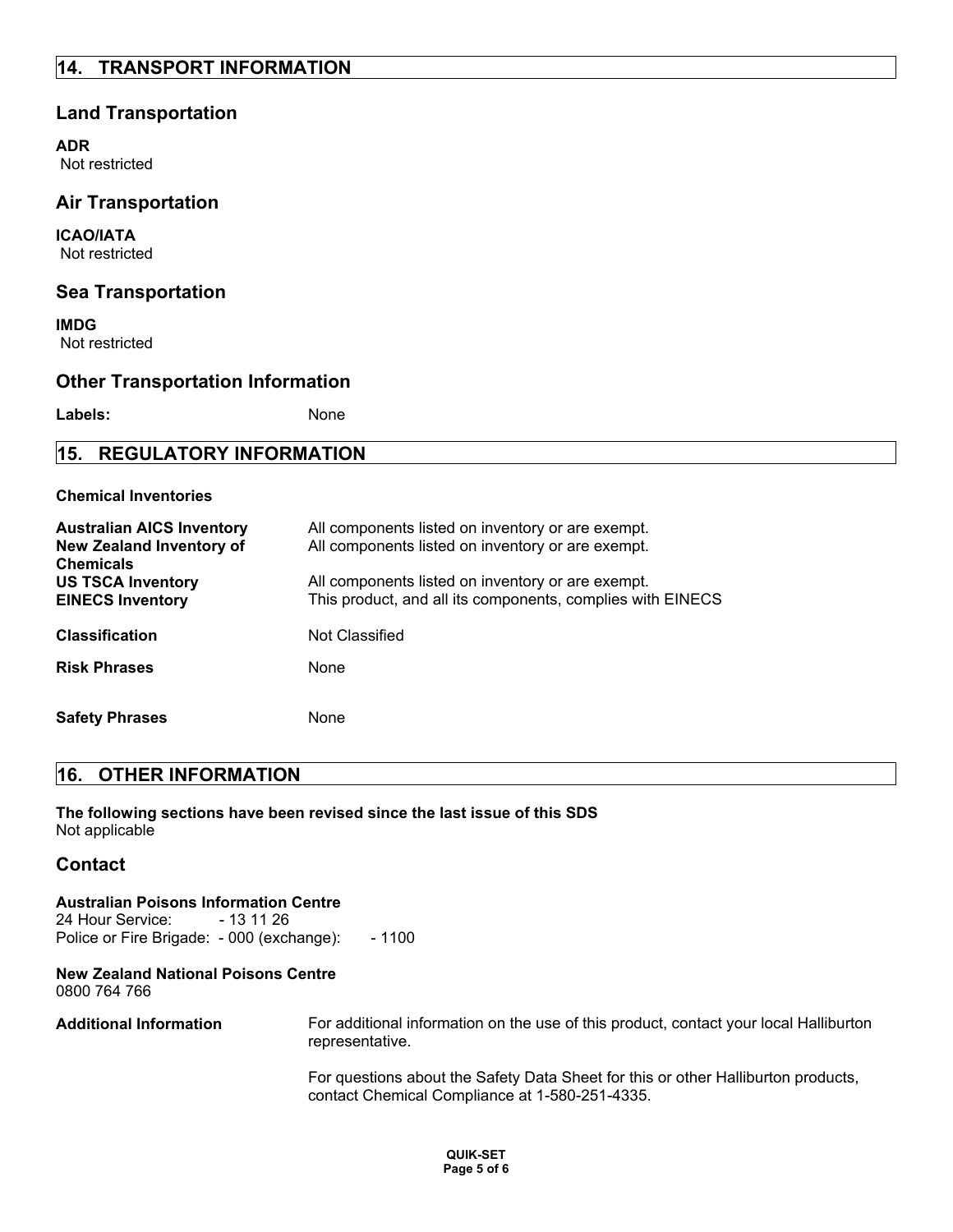## **14. TRANSPORT INFORMATION**

#### **Land Transportation**

**ADR** Not restricted

#### **Air Transportation**

**ICAO/IATA** Not restricted

#### **Sea Transportation**

**IMDG** Not restricted

#### **Other Transportation Information**

Labels: None

### **15. REGULATORY INFORMATION**

#### **Chemical Inventories**

| <b>Australian AICS Inventory</b><br><b>New Zealand Inventory of</b><br><b>Chemicals</b> | All components listed on inventory or are exempt.<br>All components listed on inventory or are exempt.          |
|-----------------------------------------------------------------------------------------|-----------------------------------------------------------------------------------------------------------------|
| <b>US TSCA Inventory</b><br><b>EINECS Inventory</b>                                     | All components listed on inventory or are exempt.<br>This product, and all its components, complies with EINECS |
| <b>Classification</b>                                                                   | Not Classified                                                                                                  |
| <b>Risk Phrases</b>                                                                     | None                                                                                                            |
| <b>Safety Phrases</b>                                                                   | None                                                                                                            |

#### **16. OTHER INFORMATION**

**The following sections have been revised since the last issue of this SDS** Not applicable

#### **Contact**

#### **Australian Poisons Information Centre**

24 Hour Service: - 13 11 26 Police or Fire Brigade: - 000 (exchange): - 1100

#### **New Zealand National Poisons Centre** 0800 764 766

**Additional Information** For additional information on the use of this product, contact your local Halliburton representative.

> For questions about the Safety Data Sheet for this or other Halliburton products, contact Chemical Compliance at 1-580-251-4335.